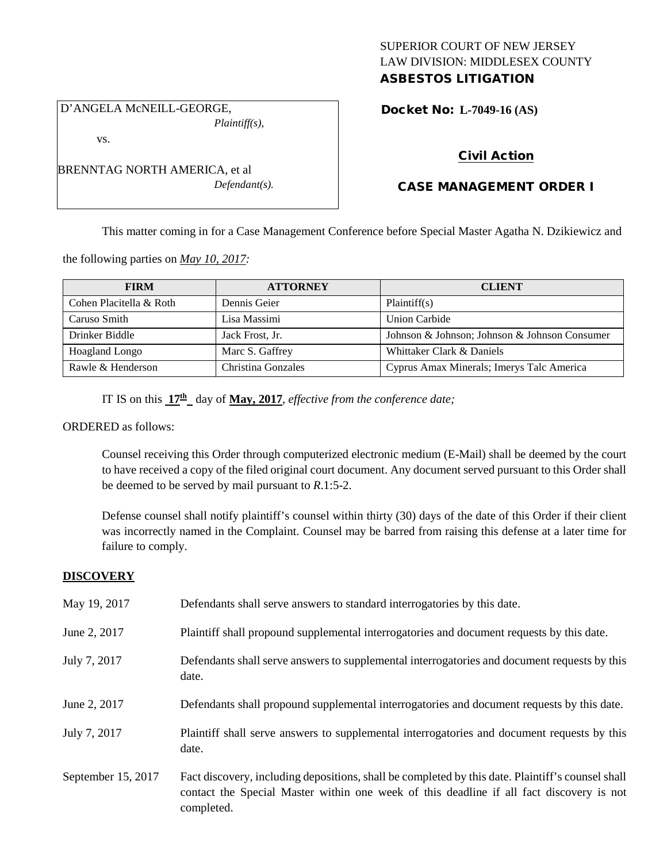## SUPERIOR COURT OF NEW JERSEY LAW DIVISION: MIDDLESEX COUNTY ASBESTOS LITIGATION

D'ANGELA McNEILL-GEORGE, *Plaintiff(s),*

vs.

Docket No: **L-7049-16 (AS)** 

## Civil Action

## CASE MANAGEMENT ORDER I

This matter coming in for a Case Management Conference before Special Master Agatha N. Dzikiewicz and

the following parties on *May 10, 2017:*

| <b>FIRM</b>             | <b>ATTORNEY</b>    | <b>CLIENT</b>                                 |
|-------------------------|--------------------|-----------------------------------------------|
| Cohen Placitella & Roth | Dennis Geier       | Plaintiff(s)                                  |
| Caruso Smith            | Lisa Massimi       | Union Carbide                                 |
| Drinker Biddle          | Jack Frost, Jr.    | Johnson & Johnson; Johnson & Johnson Consumer |
| Hoagland Longo          | Marc S. Gaffrey    | Whittaker Clark & Daniels                     |
| Rawle & Henderson       | Christina Gonzales | Cyprus Amax Minerals; Imerys Talc America     |

IT IS on this  $17<sup>th</sup>$  day of **May, 2017**, *effective from the conference date;* 

#### ORDERED as follows:

Counsel receiving this Order through computerized electronic medium (E-Mail) shall be deemed by the court to have received a copy of the filed original court document. Any document served pursuant to this Order shall be deemed to be served by mail pursuant to *R*.1:5-2.

Defense counsel shall notify plaintiff's counsel within thirty (30) days of the date of this Order if their client was incorrectly named in the Complaint. Counsel may be barred from raising this defense at a later time for failure to comply.

### **DISCOVERY**

| May 19, 2017       | Defendants shall serve answers to standard interrogatories by this date.                                                                                                                                    |
|--------------------|-------------------------------------------------------------------------------------------------------------------------------------------------------------------------------------------------------------|
| June 2, 2017       | Plaintiff shall propound supplemental interrogatories and document requests by this date.                                                                                                                   |
| July 7, 2017       | Defendants shall serve answers to supplemental interrogatories and document requests by this<br>date.                                                                                                       |
| June 2, 2017       | Defendants shall propound supplemental interrogatories and document requests by this date.                                                                                                                  |
| July 7, 2017       | Plaintiff shall serve answers to supplemental interrogatories and document requests by this<br>date.                                                                                                        |
| September 15, 2017 | Fact discovery, including depositions, shall be completed by this date. Plaintiff's counsel shall<br>contact the Special Master within one week of this deadline if all fact discovery is not<br>completed. |

BRENNTAG NORTH AMERICA, et al *Defendant(s).*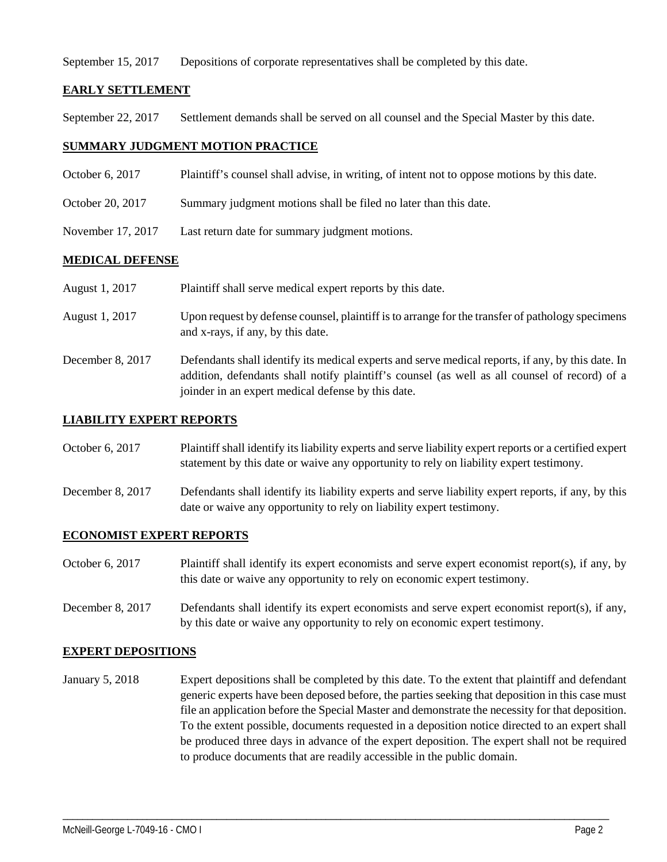September 15, 2017 Depositions of corporate representatives shall be completed by this date.

## **EARLY SETTLEMENT**

September 22, 2017 Settlement demands shall be served on all counsel and the Special Master by this date.

## **SUMMARY JUDGMENT MOTION PRACTICE**

- October 6, 2017 Plaintiff's counsel shall advise, in writing, of intent not to oppose motions by this date.
- October 20, 2017 Summary judgment motions shall be filed no later than this date.
- November 17, 2017 Last return date for summary judgment motions.

## **MEDICAL DEFENSE**

| August 1, 2017 | Plaintiff shall serve medical expert reports by this date.                                       |
|----------------|--------------------------------------------------------------------------------------------------|
| August 1, 2017 | Upon request by defense counsel, plaintiff is to arrange for the transfer of pathology specimens |
|                | and x-rays, if any, by this date.                                                                |

December 8, 2017 Defendants shall identify its medical experts and serve medical reports, if any, by this date. In addition, defendants shall notify plaintiff's counsel (as well as all counsel of record) of a joinder in an expert medical defense by this date.

### **LIABILITY EXPERT REPORTS**

October 6, 2017 Plaintiff shall identify its liability experts and serve liability expert reports or a certified expert statement by this date or waive any opportunity to rely on liability expert testimony.

December 8, 2017 Defendants shall identify its liability experts and serve liability expert reports, if any, by this date or waive any opportunity to rely on liability expert testimony.

### **ECONOMIST EXPERT REPORTS**

October 6, 2017 Plaintiff shall identify its expert economists and serve expert economist report(s), if any, by this date or waive any opportunity to rely on economic expert testimony.

December 8, 2017 Defendants shall identify its expert economists and serve expert economist report(s), if any, by this date or waive any opportunity to rely on economic expert testimony.

### **EXPERT DEPOSITIONS**

January 5, 2018 Expert depositions shall be completed by this date. To the extent that plaintiff and defendant generic experts have been deposed before, the parties seeking that deposition in this case must file an application before the Special Master and demonstrate the necessity for that deposition. To the extent possible, documents requested in a deposition notice directed to an expert shall be produced three days in advance of the expert deposition. The expert shall not be required to produce documents that are readily accessible in the public domain.

\_\_\_\_\_\_\_\_\_\_\_\_\_\_\_\_\_\_\_\_\_\_\_\_\_\_\_\_\_\_\_\_\_\_\_\_\_\_\_\_\_\_\_\_\_\_\_\_\_\_\_\_\_\_\_\_\_\_\_\_\_\_\_\_\_\_\_\_\_\_\_\_\_\_\_\_\_\_\_\_\_\_\_\_\_\_\_\_\_\_\_\_\_\_\_\_\_\_\_\_\_\_\_\_\_\_\_\_\_\_